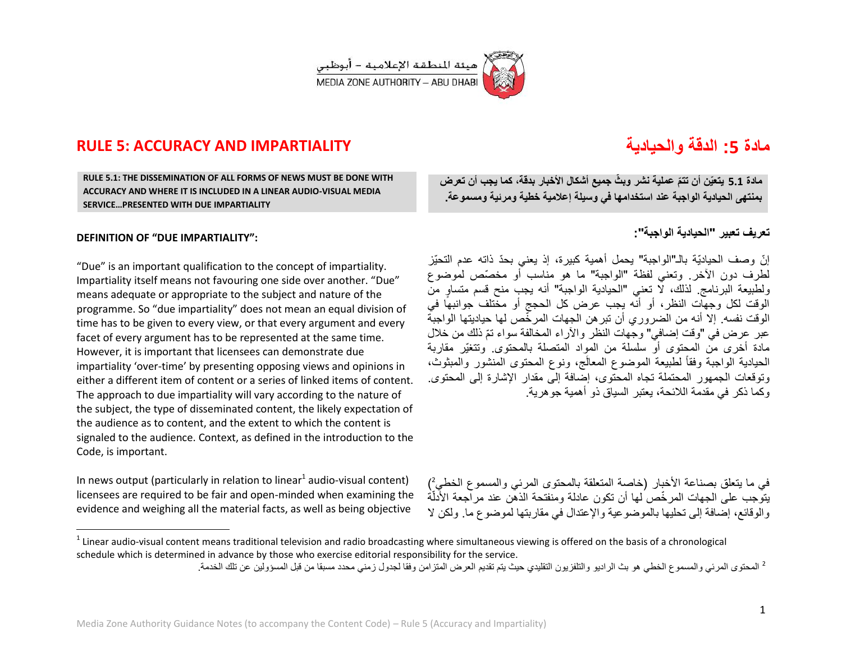

## **RULE 5: ACCURACY AND IMPARTIALITY**

### **RULE 5.1: THE DISSEMINATION OF ALL FORMS OF NEWS MUST BE DONE WITH ACCURACY AND WHERE IT IS INCLUDED IN A LINEAR AUDIO-VISUAL MEDIA SERVICE…PRESENTED WITH DUE IMPARTIALITY**

### **DEFINITION OF "DUE IMPARTIALITY":**

 $\overline{\phantom{a}}$ 

"Due" is an important qualification to the concept of impartiality. Impartiality itself means not favouring one side over another. "Due" means adequate or appropriate to the subject and nature of the programme. So "due impartiality" does not mean an equal division of time has to be given to every view, or that every argument and every facet of every argument has to be represented at the same time. However, it is important that licensees can demonstrate due impartiality 'over-time' by presenting opposing views and opinions in either a different item of content or a series of linked items of content. The approach to due impartiality will vary according to the nature of the subject, the type of disseminated content, the likely expectation of the audience as to content, and the extent to which the content is signaled to the audience. Context, as defined in the introduction to the Code, is important.

In news output (particularly in relation to linear<sup>1</sup> audio-visual content) licensees are required to be fair and open-minded when examining the evidence and weighing all the material facts, as well as being objective

# **مادة :5 الدقة والحٌادٌة**

**ّم عملٌة نشر وب ّث جمٌع أشكال األخبار بدقة، كما ٌجب أن تعرض مادة 5.5 ٌتعٌّن أن تت** بمنتهى الحيادية الواجبة عند استخدامها ف*ي* وسيلة إعلامية خطية ومرئية ومسموعة.

### **تعرٌف تعبٌر "الحٌادٌة الواجبة":**

إنّ وصف الحياديّة بالـ"الواجبة" يحمل أهمية كبيرة، إذ يعني بحدّ ذاته عدم التحبّز لطرف دون الآخر. وتعنى لفظة "الواجبة" ما هو مناسب أو مخصّص لموضوع ولطبيعة البرنامج. لذلك، لا تعني "الحيادية الواجبة" أنه يجب منح قسم متساوٍ من الوقت لكل وجهات النظر، أو أنّه يجب عرض كل الحجج أو مختلف جوانبها في الوقت نفسه. إلا أنه من الضروري أن تبر هن الجهات المر خّص لها حياديتها الواجبة عبر عرض في "وقت إضافي" وجهات النظر والأراء المخالفة سواء تمّ ذلك من خلال مادة أخرى من المحتوى أو سلسلة من المواد المتصلة بالمحتوى. وتتغٌّر مقاربة الحيادية الواجبة وفقاً لطبيعة الموضوع المعالَج، ونوع المحتوى المنشور والمبثوث، وتوقعات الجمهور المحتملة تجاه المحتوى، إضافة إلى مقدار اإلشارة إلى المحتوى. وكما ذكر ًفي مقدمة اللائحة، يعتبر السياق ذو أهمية جوهر ية.

في ما يتعلَّق بصناعة الأخبار (خاصة المتعلَّقة بالمحتوى المرئـي والمسموع الخطيُّ) يتوَّجب على الجهات المرخّص لها أن تكون عادلة ومنفتحة الذهن عند مراّجعة الأَدلّة ٳ والوقائع، إضافة إلى تحليها بالموضوعية والإعتدال في مقاربتها لموضوع ما. ولكن لا

 $^1$  Linear audio-visual content means traditional television and radio broadcasting where simultaneous viewing is offered on the basis of a chronological schedule which is determined in advance by those who exercise editorial responsibility for the service.

<sup>&</sup>lt;sup>2</sup> المحتوى المرئي والمسموع الخطي هو بث الراديو والتلفزيون التقليدي حيث يتم تقديم العرض المتزامن وفقا لجدول زمني محدد مسبقا من قبل المسؤولين عن تلك الخدمة.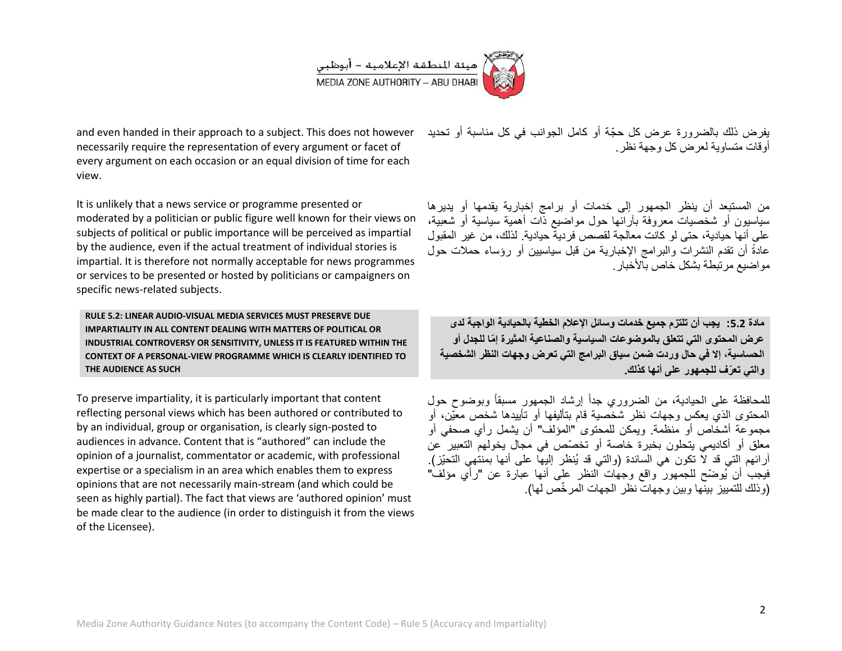

and even handed in their approach to a subject. This does not however necessarily require the representation of every argument or facet of every argument on each occasion or an equal division of time for each view.

It is unlikely that a news service or programme presented or moderated by a politician or public figure well known for their views on subjects of political or public importance will be perceived as impartial by the audience, even if the actual treatment of individual stories is impartial. It is therefore not normally acceptable for news programmes or services to be presented or hosted by politicians or campaigners on specific news-related subjects.

**RULE 5.2: LINEAR AUDIO-VISUAL MEDIA SERVICES MUST PRESERVE DUE IMPARTIALITY IN ALL CONTENT DEALING WITH MATTERS OF POLITICAL OR INDUSTRIAL CONTROVERSY OR SENSITIVITY, UNLESS IT IS FEATURED WITHIN THE CONTEXT OF A PERSONAL-VIEW PROGRAMME WHICH IS CLEARLY IDENTIFIED TO THE AUDIENCE AS SUCH**

To preserve impartiality, it is particularly important that content reflecting personal views which has been authored or contributed to by an individual, group or organisation, is clearly sign-posted to audiences in advance. Content that is "authored" can include the opinion of a journalist, commentator or academic, with professional expertise or a specialism in an area which enables them to express opinions that are not necessarily main-stream (and which could be seen as highly partial). The fact that views are 'authored opinion' must be made clear to the audience (in order to distinguish it from the views of the Licensee).

يفرض ذلك بالضرورة عرض كل حجّة أو كامل الجوانب في كل مناسبة أو تحديد أو قات متساوية لعرض كل وجهة نظر

من المستبعد أن ينظر الجمهور إلى خدمات أو برامج إخبارية يقدمها أو يديرها سياسيون أو شخصيات معروفة بآرائها حول مواضيع ذات أهمية سياسية أو شعبية، على أنها حيادية، حتى لو كانت معالجة لقصص فر ديةٌ حيادية. لذلك، من غير المقبول عادةً أن تقدم النشر ات والبر امج الإخبار بة من قبل سباسببن أو روّساء حملات حول مو اضيع مر تبطة بشكل خاص بالأخبار .

**مادة :5.5 ٌجب أن تلتزم جمٌع خدمات وسائل اإلعالم الخطٌة بالحٌادٌة الواجبة لدى عرض المحتوى التً تتعلق بالموضوعات السٌاسٌة والصناعٌة المثٌرة إ ّما للجدل أو** الحساسية، إلا في حال وردت ضمن سياق البرامج التي تعرض وجهات النظر الشخصية **والتً تعّرف للجمهور على أنها كذلك.**

للمحافظة على الحيادية، من الضروري جداً إرشاد الجمهور مسبقاً وبوضوح حول المحتوى الذي يعكس وجهات نظر شخصية قام بتأليفها أو تأييدها شخص معيّن، أو مجموعة أشخاص أو منظمة. ويمكن للمحتوى "المؤلف" أن يشمل رأي صحفى أو معلق أو أكاديمي يتحلون بخبرة خاصة أو تخصّص في مجال يخولهم التعبير عن آرائهم التّي قد لاً تكون هي السائدة (والتّي قد يُنظر إليها على أنها بمنتّهي التحيّز). فيجب أن يُوضّح للجمهور واقع وجهات النظر على أنها عبارة عن "رأي مؤلف" (وذلك للتمييز بينّها وبين وجهاتٌ نظر الجهات المر خّص لها)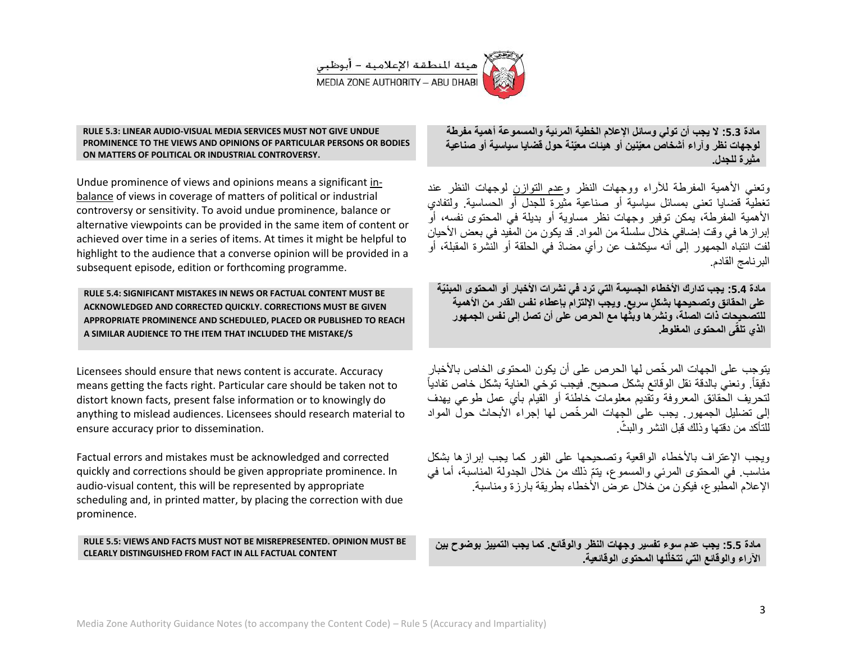

#### **RULE 5.3: LINEAR AUDIO-VISUAL MEDIA SERVICES MUST NOT GIVE UNDUE PROMINENCE TO THE VIEWS AND OPINIONS OF PARTICULAR PERSONS OR BODIES ON MATTERS OF POLITICAL OR INDUSTRIAL CONTROVERSY.**

Undue prominence of views and opinions means a significant inbalance of views in coverage of matters of political or industrial controversy or sensitivity. To avoid undue prominence, balance or alternative viewpoints can be provided in the same item of content or achieved over time in a series of items. At times it might be helpful to highlight to the audience that a converse opinion will be provided in a subsequent episode, edition or forthcoming programme.

**RULE 5.4: SIGNIFICANT MISTAKES IN NEWS OR FACTUAL CONTENT MUST BE ACKNOWLEDGED AND CORRECTED QUICKLY. CORRECTIONS MUST BE GIVEN APPROPRIATE PROMINENCE AND SCHEDULED, PLACED OR PUBLISHED TO REACH A SIMILAR AUDIENCE TO THE ITEM THAT INCLUDED THE MISTAKE/S**

Licensees should ensure that news content is accurate. Accuracy means getting the facts right. Particular care should be taken not to distort known facts, present false information or to knowingly do anything to mislead audiences. Licensees should research material to ensure accuracy prior to dissemination.

Factual errors and mistakes must be acknowledged and corrected quickly and corrections should be given appropriate prominence. In audio-visual content, this will be represented by appropriate scheduling and, in printed matter, by placing the correction with due prominence.

### **RULE 5.5: VIEWS AND FACTS MUST NOT BE MISREPRESENTED. OPINION MUST BE CLEARLY DISTINGUISHED FROM FACT IN ALL FACTUAL CONTENT**

**مادة :5.5 ال ٌجب أن تولً وسائل اإلعالم الخطٌة المرئٌة والمسموعة أهمٌة مفرطة لوجهات نظر وآراء أشخاص معٌّنٌن أو هٌئات معٌّنة حول قضاٌا سٌاسٌة أو صناعٌة مثٌرة للجدل.**

وتعني الأهمية المفرطة للأراء ووجهات النظر وعدم التوازن لوجهات النظر عند تغطيةٌ قضايا تعني بمسائل سياسية أو صناعية مثيرة للجدل أو الحساسية. ولتفادي الأهمية المفرطة، يمكن توفير وجهات نظر مساوية أو بديلة في المحتوى نفسه، أو إبر از ها في وقت إضافي خلال سلسلة من المواد. قد بكون من المفّيد في بعض الأحيان لفت انتباه الجمهور إلى أنه سيكشف عن رأي مضادّ في الحلقة أو النشرة المقبلة، أو البرنامج القادم.

مادة 5.4: يجب تدارك الأخطاء الجسيمة الت*ي* ترد في نشرات الأخبار أو المحتوى المبنيّة **على الحقائق وتصحٌحها بشك ٍل سرٌع. وٌجب اإللتزام بإعطاء نفس القدر من األهمٌة للتصحٌحات ذات الصلة، ونشرها وبثّها مع الحرص على أن تصل إلى نفس الجمهور الذي تلقّى المحتوى المغلوط.**

بتوجب على الجهات المر خّص لها الحرص على أن بكون المحتوى الخاص بالأخبار دقيقاً. ونعني بالدقة نقل الوقائع بشكل صحيح. فيجب توخي العناية بشكل خاص تفادياً لتحريف الحقائق المعروفة وتقديم معلومات خاطئة أو القيّام بأي عمل طوعي بهدف إلى تضليل الجمهور. بجب على الجهات المر خّص لها إجراء الأبحاث حولّ المواد للتأكد من دقتها وذلك قبل النشر والبثّ

ويجب الإعتراف بالأخطاء الواقعية وتصحيحها على الفور كما يجب إبرازها بشكل مناسب. في المحتوى المرئي والمسموع، ينمّ ذلك من خلال الجدولة المناسبة، أما في الإعلام المطبوع، فبكون من خلال عرض الأخطاء بطر بقة بارزة ومناسبة.

**مادة :5.5 ٌجب عدم سوء تفسٌر وجهات النظر والوقائع. كما ٌجب التمٌٌز بوضوح بٌن لها ال اآلراء والوقائع التً تتخل محتوى الوقائعٌة. ّ**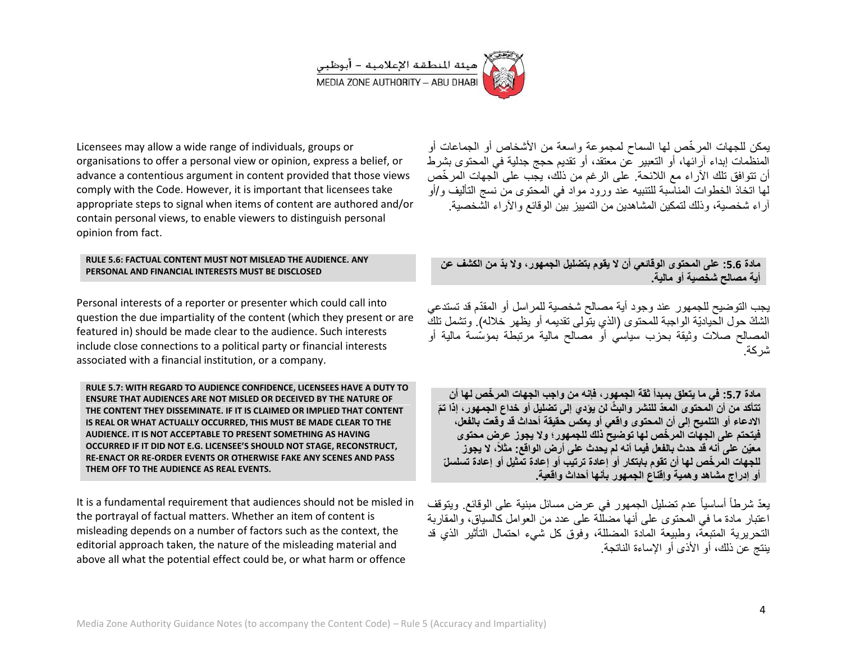

Licensees may allow a wide range of individuals, groups or organisations to offer a personal view or opinion, express a belief, or advance a contentious argument in content provided that those views comply with the Code. However, it is important that licensees take appropriate steps to signal when items of content are authored and/or contain personal views, to enable viewers to distinguish personal opinion from fact.

### **RULE 5.6: FACTUAL CONTENT MUST NOT MISLEAD THE AUDIENCE. ANY PERSONAL AND FINANCIAL INTERESTS MUST BE DISCLOSED**

Personal interests of a reporter or presenter which could call into question the due impartiality of the content (which they present or are featured in) should be made clear to the audience. Such interests include close connections to a political party or financial interests associated with a financial institution, or a company.

**RULE 5.7: WITH REGARD TO AUDIENCE CONFIDENCE, LICENSEES HAVE A DUTY TO ENSURE THAT AUDIENCES ARE NOT MISLED OR DECEIVED BY THE NATURE OF THE CONTENT THEY DISSEMINATE. IF IT IS CLAIMED OR IMPLIED THAT CONTENT IS REAL OR WHAT ACTUALLY OCCURRED, THIS MUST BE MADE CLEAR TO THE AUDIENCE. IT IS NOT ACCEPTABLE TO PRESENT SOMETHING AS HAVING OCCURRED IF IT DID NOT E.G. LICENSEE'S SHOULD NOT STAGE, RECONSTRUCT, RE-ENACT OR RE-ORDER EVENTS OR OTHERWISE FAKE ANY SCENES AND PASS THEM OFF TO THE AUDIENCE AS REAL EVENTS.**

It is a fundamental requirement that audiences should not be misled in the portrayal of factual matters. Whether an item of content is misleading depends on a number of factors such as the context, the editorial approach taken, the nature of the misleading material and above all what the potential effect could be, or what harm or offence

يمكن للجهات المرخِّص لها السماح لمجموعة واسعة من الأشخاص أو الجماعات أو المنظمات إبداء آرائها، أو التعبير عن معتقد، أو تقديم حجج جدلية في المحتوى بشرط أن تتوافق تلك الآراء مع اللائحة. على الرغم من ذلك، يجب على الجهات المرخّص لها اتخاذ الخطوات المناسبة للتنبيه عند ورود مواد في المحتوى من نسج التأليف و/أو آراء شخصية، وذلك لتمكين المشاهدين من التمييز بين الوقائع والآراء الشخصية.

### **مادة :5.5 على المحتوى الوقائعً أن ال ٌقوم بتضلٌل الجمهور، وال بّد من الكشف عن أٌة مصالح شخصٌة أو مالٌة.**

يجب التوضيح للجمهور عند وجود أية مصالح شخصية للمراسل أو المقدّم قد تستدعى الشكّ حول الحياديّة الواجبة للمحتوى (الذي يتولى تقديمه أو يظهر خلاله) وتشمل تلكّ المصالح صلات وثيقة بحزب سياسي أو مصالح مالية مرتبطة بمؤسّسة مالية أو شركة.

**مادة :5.5 فً ما ٌتعلق بمبدأ ثقة الجمهور، فإنه من واجب الجهات المر ّخص لها أن ّم تتأكد من أن المحتوى المعّد للنشر والب ّث لن ٌؤدي إلى تضلٌل أو خداع الجمهور، إذا ت االدعاء أو التلمٌح إلى أن المحتوى واقعً أو ٌعكس حقٌقة أحداث قد وقعت بالفعل، فٌتحتم على الجهات المر ّخص لها توضٌح ذلك للجمهور؛ وال ٌجوز عرض محتوى معٌّن على أنه قد حدث بالفعل فٌما أنه لم ٌحدث على أرض الواقع: مثال،ً ال ٌجوز دة تسلسلّ للجهات المر ّخص لها أن تقوم بابتكار أو إعادة ترتٌب أو إعادة تمثٌل أو إعا** أو إدراج مشاهد وهمية وإقناع الجمهور بأنها أحداث واقعية<u>.</u>

يعدّ شرطاً أساسياً عدم تضليل الجمهور في عرض مسائل مبنية على الوقائع. ويتوقف اعتبار مادة ما في المحتوى على أنها مضلَّلة على عدد من العوامل كالسياق، والمقاربة التحريرية المتبعة، وطبيعة المادة المضللة، وفوق كل شيء احتمال التأثير الذي قد ينتج عن ذلك، أو الأذى أو الإساءة الناتجة.